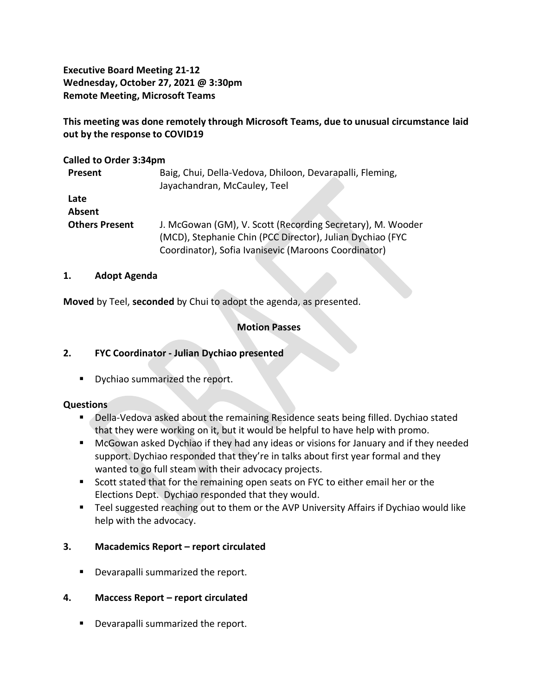**Executive Board Meeting 21-12 Wednesday, October 27, 2021 @ 3:30pm Remote Meeting, Microsoft Teams**

# **This meeting was done remotely through Microsoft Teams, due to unusual circumstance laid out by the response to COVID19**

## **Called to Order 3:34pm**

| Present               | Baig, Chui, Della-Vedova, Dhiloon, Devarapalli, Fleming,   |
|-----------------------|------------------------------------------------------------|
|                       | Jayachandran, McCauley, Teel                               |
| Late                  |                                                            |
| Absent                |                                                            |
| <b>Others Present</b> | J. McGowan (GM), V. Scott (Recording Secretary), M. Wooder |
|                       | (MCD), Stephanie Chin (PCC Director), Julian Dychiao (FYC  |
|                       | Coordinator), Sofia Ivanisevic (Maroons Coordinator)       |

## **1. Adopt Agenda**

**Moved** by Teel, **seconded** by Chui to adopt the agenda, as presented.

# **Motion Passes**

# **2. FYC Coordinator - Julian Dychiao presented**

**•** Dychiao summarized the report.

# **Questions**

- Della-Vedova asked about the remaining Residence seats being filled. Dychiao stated that they were working on it, but it would be helpful to have help with promo.
- McGowan asked Dychiao if they had any ideas or visions for January and if they needed support. Dychiao responded that they're in talks about first year formal and they wanted to go full steam with their advocacy projects.
- Scott stated that for the remaining open seats on FYC to either email her or the Elections Dept. Dychiao responded that they would.
- Teel suggested reaching out to them or the AVP University Affairs if Dychiao would like help with the advocacy.

# **3. Macademics Report – report circulated**

■ Devarapalli summarized the report.

# **4. Maccess Report – report circulated**

■ Devarapalli summarized the report.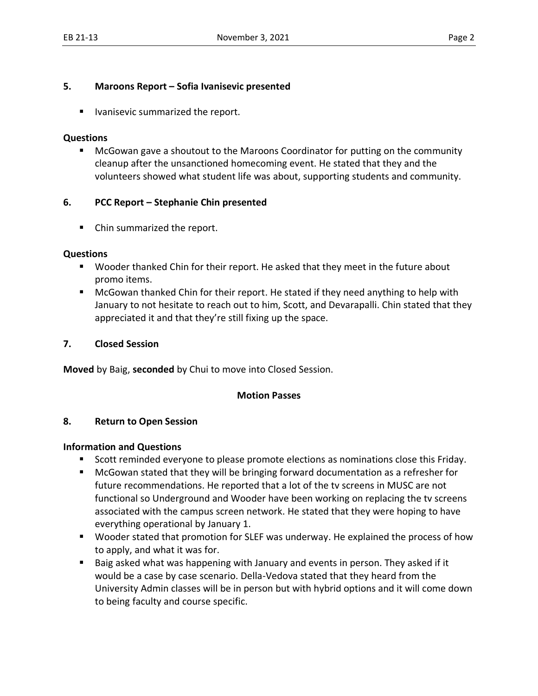## **5. Maroons Report – Sofia Ivanisevic presented**

■ Ivanisevic summarized the report.

#### **Questions**

■ McGowan gave a shoutout to the Maroons Coordinator for putting on the community cleanup after the unsanctioned homecoming event. He stated that they and the volunteers showed what student life was about, supporting students and community.

# **6. PCC Report – Stephanie Chin presented**

■ Chin summarized the report.

## **Questions**

- Wooder thanked Chin for their report. He asked that they meet in the future about promo items.
- McGowan thanked Chin for their report. He stated if they need anything to help with January to not hesitate to reach out to him, Scott, and Devarapalli. Chin stated that they appreciated it and that they're still fixing up the space.

## **7. Closed Session**

**Moved** by Baig, **seconded** by Chui to move into Closed Session.

#### **Motion Passes**

#### **8. Return to Open Session**

#### **Information and Questions**

- Scott reminded everyone to please promote elections as nominations close this Friday.
- McGowan stated that they will be bringing forward documentation as a refresher for future recommendations. He reported that a lot of the tv screens in MUSC are not functional so Underground and Wooder have been working on replacing the tv screens associated with the campus screen network. He stated that they were hoping to have everything operational by January 1.
- Wooder stated that promotion for SLEF was underway. He explained the process of how to apply, and what it was for.
- Baig asked what was happening with January and events in person. They asked if it would be a case by case scenario. Della-Vedova stated that they heard from the University Admin classes will be in person but with hybrid options and it will come down to being faculty and course specific.